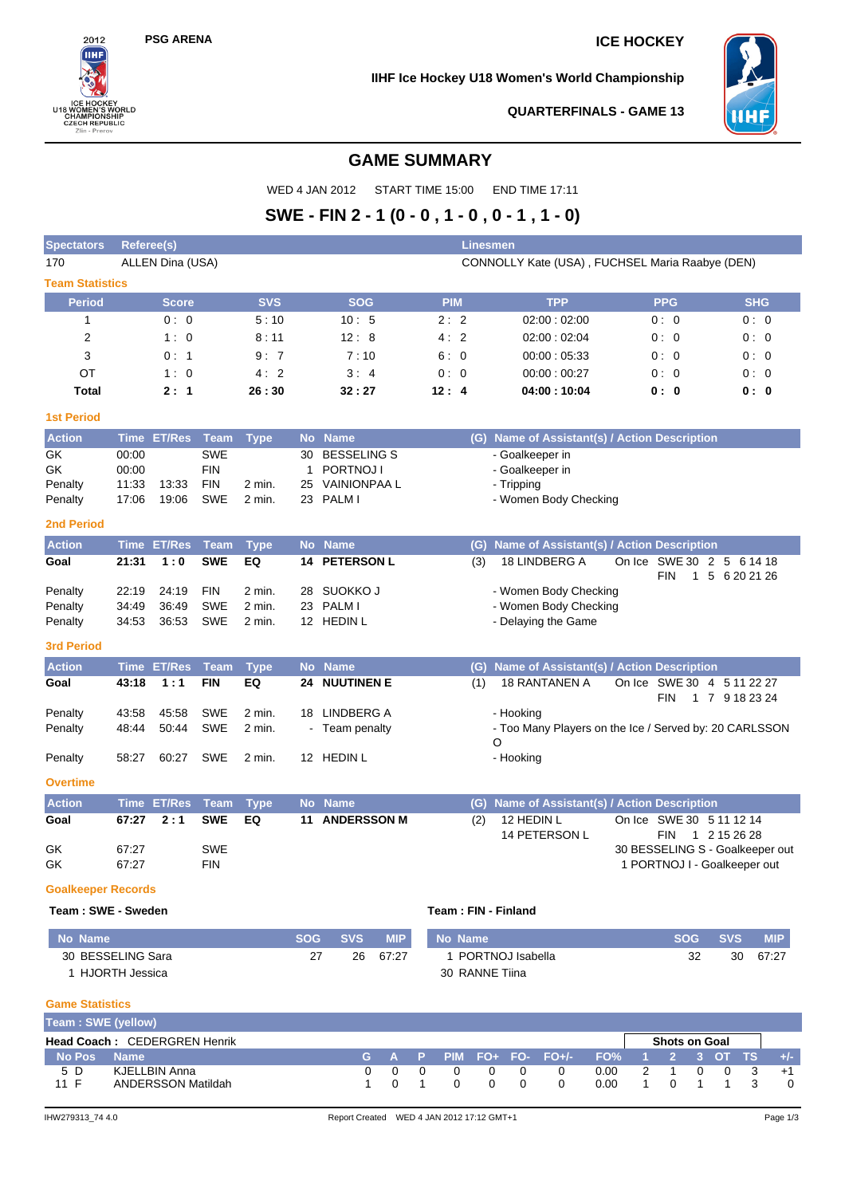$2012$ πн

ICE HOCKEY<br>U18 WOMEN'S WORLD<br>CHAMPIONSHIP<br>CZECH REPUBLIC<br>Zlin - Prerov

## **PSG ARENA ICE HOCKEY**

**IIHF Ice Hockey U18 Women's World Championship**



**QUARTERFINALS - GAME 13**

## **GAME SUMMARY**

WED 4 JAN 2012 START TIME 15:00 END TIME 17:11

# **SWE - FIN 2 - 1 (0 - 0 , 1 - 0 , 0 - 1 , 1 - 0)**

| <b>Spectators</b>            | <b>Referee(s)</b> |                           |                   |                                                 |            |                          |   |            | Linesmen         |                     |                                                        |      |                                 |                |                             |            |            |
|------------------------------|-------------------|---------------------------|-------------------|-------------------------------------------------|------------|--------------------------|---|------------|------------------|---------------------|--------------------------------------------------------|------|---------------------------------|----------------|-----------------------------|------------|------------|
| 170                          |                   | ALLEN Dina (USA)          |                   | CONNOLLY Kate (USA), FUCHSEL Maria Raabye (DEN) |            |                          |   |            |                  |                     |                                                        |      |                                 |                |                             |            |            |
| <b>Team Statistics</b>       |                   |                           |                   |                                                 |            |                          |   |            |                  |                     |                                                        |      |                                 |                |                             |            |            |
| <b>Period</b>                |                   | <b>Score</b>              |                   | <b>SVS</b>                                      |            | <b>SOG</b>               |   | <b>PIM</b> |                  |                     | <b>TPP</b>                                             |      |                                 | <b>PPG</b>     |                             | <b>SHG</b> |            |
| 1                            |                   | 0:0                       |                   | 5:10                                            |            | 10:5                     |   | 2:2        |                  |                     | 02:00:02:00                                            |      |                                 | 0:0            |                             | 0:0        |            |
| 2                            |                   | 1:0                       |                   | 8:11                                            |            | 12:8                     |   | 4:2        |                  |                     | 02:00:02:04                                            |      |                                 | 0:0            |                             | 0:0        |            |
| 3                            |                   | 0:1                       |                   | 9:7                                             |            | 7:10                     |   | 6:0        |                  |                     | 00:00:05:33                                            |      |                                 | 0:0            |                             | 0:0        |            |
| OT                           |                   | 1:0                       |                   | 4:2                                             |            | 3:4                      |   | 0:0        |                  |                     | 00:00:00:27                                            |      |                                 | 0:0            |                             | 0:0        |            |
| Total                        |                   | 2:1                       |                   | 26:30                                           |            | 32:27                    |   | 12:4       |                  |                     | 04:00:10:04                                            |      |                                 | 0:0            |                             | 0: 0       |            |
| <b>1st Period</b>            |                   |                           |                   |                                                 |            |                          |   |            |                  |                     |                                                        |      |                                 |                |                             |            |            |
| <b>Action</b>                |                   | Time ET/Res               | Team              | <b>Type</b>                                     |            | No Name                  |   |            |                  |                     | (G) Name of Assistant(s) / Action Description          |      |                                 |                |                             |            |            |
| GK                           | 00:00             |                           | <b>SWE</b>        |                                                 | 30         | <b>BESSELING S</b>       |   |            |                  | - Goalkeeper in     |                                                        |      |                                 |                |                             |            |            |
| GK                           | 00:00             |                           | <b>FIN</b>        |                                                 | 1          | PORTNOJ I                |   |            |                  | - Goalkeeper in     |                                                        |      |                                 |                |                             |            |            |
| Penalty                      | 11:33             | 13:33                     | <b>FIN</b>        | 2 min.                                          | 25         | <b>VAINIONPAA L</b>      |   |            |                  | - Tripping          |                                                        |      |                                 |                |                             |            |            |
| Penalty                      | 17:06             | 19:06                     | <b>SWE</b>        | 2 min.                                          |            | 23 PALM I                |   |            |                  |                     | - Women Body Checking                                  |      |                                 |                |                             |            |            |
| <b>2nd Period</b>            |                   |                           |                   |                                                 |            |                          |   |            |                  |                     |                                                        |      |                                 |                |                             |            |            |
| <b>Action</b>                | <b>Time</b>       | <b>ET/Res</b>             | <b>Team</b>       | <b>Type</b>                                     |            | No Name                  |   |            | $\overline{(G)}$ |                     | <b>Name of Assistant(s) / Action Description</b>       |      |                                 |                |                             |            |            |
| Goal                         | 21:31             | 1:0                       | <b>SWE</b>        | EQ                                              | 14         | <b>PETERSON L</b>        |   |            | (3)              |                     | 18 LINDBERG A                                          |      | On Ice                          |                | SWE 30 2 5 6 14 18          |            |            |
|                              |                   |                           |                   |                                                 |            |                          |   |            |                  |                     |                                                        |      |                                 | <b>FIN</b>     | 1 5 6 20 21 26              |            |            |
| Penalty                      | 22:19             | 24:19                     | <b>FIN</b>        | 2 min.                                          | 28         | SUOKKO J                 |   |            |                  |                     | - Women Body Checking                                  |      |                                 |                |                             |            |            |
| Penalty                      | 34:49<br>34:53    | 36:49<br>36:53            | <b>SWE</b><br>SWE | 2 min.<br>2 min.                                |            | 23 PALM I<br>12 HEDIN L  |   |            |                  |                     | - Women Body Checking                                  |      |                                 |                |                             |            |            |
| Penalty                      |                   |                           |                   |                                                 |            |                          |   |            |                  |                     | - Delaying the Game                                    |      |                                 |                |                             |            |            |
| <b>3rd Period</b>            |                   |                           |                   |                                                 |            |                          |   |            |                  |                     |                                                        |      |                                 |                |                             |            |            |
| <b>Action</b>                |                   | Time ET/Res               | <b>Team</b>       | <b>Type</b>                                     |            | No Name                  |   |            | (G)              |                     | Name of Assistant(s) / Action Description              |      |                                 |                |                             |            |            |
| Goal                         | 43:18             | 1:1                       | <b>FIN</b>        | EQ                                              |            | <b>24 NUUTINEN E</b>     |   |            | (1)              |                     | 18 RANTANEN A                                          |      | On Ice SWE 30 4 5 11 22 27      |                |                             |            |            |
| Penalty                      | 43:58             | 45:58                     | <b>SWE</b>        | 2 min.                                          |            | 18 LINDBERG A            |   |            |                  | - Hooking           |                                                        |      |                                 | <b>FIN</b>     | 1 7 9 18 23 24              |            |            |
| Penalty                      | 48:44             | 50:44                     | <b>SWE</b>        | 2 min.                                          |            | - Team penalty           |   |            |                  |                     | - Too Many Players on the Ice / Served by: 20 CARLSSON |      |                                 |                |                             |            |            |
|                              |                   |                           |                   |                                                 |            |                          |   |            |                  | O                   |                                                        |      |                                 |                |                             |            |            |
| Penalty                      | 58:27             | 60:27                     | SWE               | 2 min.                                          |            | 12 HEDIN L               |   |            |                  | - Hooking           |                                                        |      |                                 |                |                             |            |            |
| <b>Overtime</b>              |                   |                           |                   |                                                 |            |                          |   |            |                  |                     |                                                        |      |                                 |                |                             |            |            |
| <b>Action</b>                | Time              | <b>ET/Res</b>             | <b>Team</b>       | <b>Type</b>                                     |            | No Name                  |   |            | (G)              |                     | Name of Assistant(s) / Action Description              |      |                                 |                |                             |            |            |
| Goal                         | 67:27             | 2:1                       | <b>SWE</b>        | EQ                                              | 11         | <b>ANDERSSON M</b>       |   |            | (2)              | 12 HEDIN L          |                                                        |      | On Ice SWE 30 5 11 12 14        |                |                             |            |            |
|                              |                   |                           |                   |                                                 |            |                          |   |            |                  |                     | 14 PETERSON L                                          |      |                                 | <b>FIN</b>     | 1 2 15 26 28                |            |            |
| GK                           | 67:27             |                           | <b>SWE</b>        |                                                 |            |                          |   |            |                  |                     |                                                        |      | 30 BESSELING S - Goalkeeper out |                |                             |            |            |
| GK                           | 67:27             |                           | <b>FIN</b>        |                                                 |            |                          |   |            |                  |                     |                                                        |      | 1 PORTNOJ I - Goalkeeper out    |                |                             |            |            |
| <b>Goalkeeper Records</b>    |                   |                           |                   |                                                 |            |                          |   |            |                  |                     |                                                        |      |                                 |                |                             |            |            |
| Team: SWE - Sweden           |                   |                           |                   |                                                 |            |                          |   |            |                  | Team: FIN - Finland |                                                        |      |                                 |                |                             |            |            |
| <b>No Name</b>               |                   |                           |                   |                                                 | <b>SOG</b> | <b>SVS</b><br><b>MIP</b> |   |            | No Name          |                     |                                                        |      |                                 | <b>SOG</b>     | <b>SVS</b>                  |            | <b>MIP</b> |
| 30 BESSELING Sara            |                   |                           |                   |                                                 | 27         | 67:27<br>26              |   |            |                  | 1 PORTNOJ Isabella  |                                                        |      |                                 | 32             |                             | 30         | 67:27      |
| 1 HJORTH Jessica             |                   |                           |                   |                                                 |            |                          |   |            |                  | 30 RANNE Tiina      |                                                        |      |                                 |                |                             |            |            |
| <b>Game Statistics</b>       |                   |                           |                   |                                                 |            |                          |   |            |                  |                     |                                                        |      |                                 |                |                             |            |            |
| Team: SWE (yellow)           |                   |                           |                   |                                                 |            |                          |   |            |                  |                     |                                                        |      |                                 |                |                             |            |            |
| Head Coach: CEDERGREN Henrik |                   |                           |                   |                                                 |            |                          |   |            |                  |                     |                                                        |      |                                 | Shots on Goal  |                             |            |            |
| <b>No Pos</b>                | <b>Name</b>       |                           |                   |                                                 |            | G<br>A                   | P | <b>PIM</b> | $FO+$            | FO-                 | $FO+/-$                                                | FO%  | 1                               | $\overline{2}$ | 3 <sup>1</sup><br><b>OT</b> | ТS         | +/-        |
| 5 D                          |                   | <b>KJELLBIN Anna</b>      |                   |                                                 |            | 0<br>0                   | 0 | 0          |                  | 0<br>0              | 0                                                      | 0.00 | 2                               | 1              | 0<br>0                      | 3          | $+1$       |
| 11 F                         |                   | <b>ANDERSSON Matildah</b> |                   |                                                 |            | 0<br>1                   | 1 | 0          |                  | 0<br>0              | 0                                                      | 0.00 | 1                               | 0              | 1<br>-1                     | 3          | 0          |
|                              |                   |                           |                   |                                                 |            |                          |   |            |                  |                     |                                                        |      |                                 |                |                             |            |            |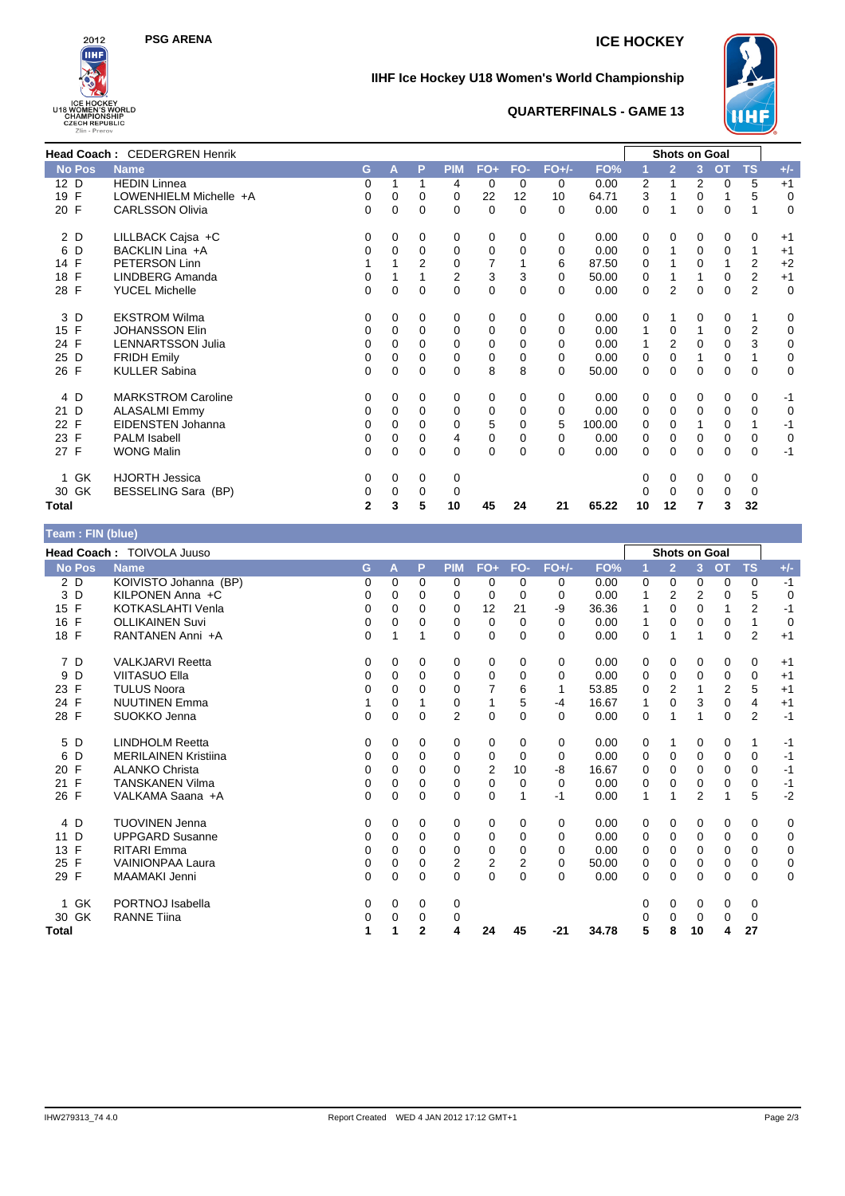



### **IIHF Ice Hockey U18 Women's World Championship**



#### **QUARTERFINALS - GAME 13**

|                    | Head Coach: CEDERGREN Henrik |              |          |                |                |          |              |          |        |          | <b>Shots on Goal</b> |             |           |                |             |
|--------------------|------------------------------|--------------|----------|----------------|----------------|----------|--------------|----------|--------|----------|----------------------|-------------|-----------|----------------|-------------|
| No Pos             | <b>Name</b>                  | G.           | A        | P              | <b>PIM</b>     | $FO+$    | FO-          | $FO+/-$  | FO%    |          | $\overline{2}$       | 3           | <b>OT</b> | <b>TS</b>      | $+/-$       |
| 12 D               | <b>HEDIN Linnea</b>          | 0            | 1        | 1              | 4              | $\Omega$ | $\Omega$     | $\Omega$ | 0.00   | 2        | 1                    | 2           | 0         | 5              | $+1$        |
| $\mathsf{F}$<br>19 | LOWENHIELM Michelle +A       | 0            | 0        | $\mathbf 0$    | 0              | 22       | 12           | 10       | 64.71  | 3        | 1                    | 0           |           | 5              | $\mathbf 0$ |
| 20 F               | <b>CARLSSON Olivia</b>       | 0            | $\Omega$ | $\Omega$       | $\mathbf 0$    | $\Omega$ | $\Omega$     | $\Omega$ | 0.00   | 0        | 1                    | $\Omega$    | 0         | 1              | $\Omega$    |
| 2 D                | LILLBACK Cajsa +C            | 0            | 0        | 0              | 0              | 0        | 0            | 0        | 0.00   | 0        | 0                    | 0           | 0         | 0              | $+1$        |
| 6<br>D             | BACKLIN Lina +A              | 0            | 0        | $\mathbf 0$    | 0              | 0        | $\Omega$     | 0        | 0.00   | 0        | 1                    | $\mathbf 0$ | 0         | 1              | $+1$        |
| 14 F               | PETERSON Linn                |              |          | $\overline{2}$ | $\mathbf 0$    | 7        |              | 6        | 87.50  | $\Omega$ |                      | $\Omega$    |           | $\overline{2}$ | $+2$        |
| F<br>18            | LINDBERG Amanda              | 0            | 1        |                | $\overline{c}$ | 3        | 3            | $\Omega$ | 50.00  | 0        | 1                    | 1           | 0         | $\overline{2}$ | $+1$        |
| 28 F               | <b>YUCEL Michelle</b>        | $\Omega$     | $\Omega$ | $\Omega$       | $\mathbf 0$    | 0        | $\mathbf{0}$ | 0        | 0.00   | $\Omega$ | $\overline{2}$       | $\Omega$    | $\Omega$  | $\overline{2}$ | $\mathbf 0$ |
| D<br>3             | <b>EKSTROM Wilma</b>         | 0            | 0        | 0              | 0              | 0        | 0            | 0        | 0.00   | 0        | 1                    | 0           | 0         | 1              | 0           |
| $\mathsf{F}$<br>15 | <b>JOHANSSON Elin</b>        | 0            | $\Omega$ | $\Omega$       | 0              | 0        | $\Omega$     | 0        | 0.00   | 1        | 0                    | 1           | 0         | $\overline{2}$ | $\mathbf 0$ |
| 24 F               | <b>LENNARTSSON Julia</b>     | 0            | 0        | $\Omega$       | 0              | 0        | 0            | 0        | 0.00   |          | $\overline{2}$       | 0           | 0         | 3              | 0           |
| D<br>25            | <b>FRIDH Emily</b>           | 0            | 0        | $\Omega$       | 0              | 0        | 0            | $\Omega$ | 0.00   | 0        | $\Omega$             | 1           | 0         | $\mathbf{1}$   | $\mathbf 0$ |
| 26 F               | <b>KULLER Sabina</b>         | 0            | 0        | $\mathbf 0$    | $\mathbf 0$    | 8        | 8            | $\Omega$ | 50.00  | 0        | 0                    | 0           | 0         | 0              | $\mathbf 0$ |
| 4 D                | <b>MARKSTROM Caroline</b>    | 0            | $\Omega$ | $\Omega$       | 0              | 0        | $\Omega$     | $\Omega$ | 0.00   | 0        | 0                    | 0           | 0         | 0              | $-1$        |
| D<br>21            | <b>ALASALMI Emmy</b>         | 0            | 0        | 0              | 0              | 0        | $\Omega$     | 0        | 0.00   | 0        | 0                    | 0           | 0         | 0              | $\mathbf 0$ |
| 22 F               | EIDENSTEN Johanna            | 0            | 0        | $\Omega$       | $\Omega$       | 5        | $\Omega$     | 5        | 100.00 | $\Omega$ | $\Omega$             |             | $\Omega$  | 1              | -1          |
| F<br>23            | <b>PALM Isabell</b>          | 0            | 0        | $\Omega$       | 4              | 0        | 0            | 0        | 0.00   | 0        | 0                    | 0           | 0         | 0              | $\mathbf 0$ |
| 27 F               | <b>WONG Malin</b>            | 0            | 0        | 0              | 0              | 0        | $\Omega$     | $\Omega$ | 0.00   | 0        | 0                    | 0           | 0         | 0              | $-1$        |
| 1 GK               | <b>HJORTH Jessica</b>        | 0            | 0        | 0              | 0              |          |              |          |        | 0        | 0                    | 0           | 0         | 0              |             |
| 30 GK              | BESSELING Sara (BP)          | 0            | 0        | 0              | 0              |          |              |          |        | 0        | 0                    | 0           | 0         | 0              |             |
| Total              |                              | $\mathbf{2}$ | 3        | 5              | 10             | 45       | 24           | 21       | 65.22  | 10       | 12                   | 7           | 3         | 32             |             |

### **Team : FIN (blue)**

|                    | Head Coach: TOIVOLA Juuso   |             |          |              |                |             |              |          |       |          | <b>Shots on Goal</b> |                |           |                |                |
|--------------------|-----------------------------|-------------|----------|--------------|----------------|-------------|--------------|----------|-------|----------|----------------------|----------------|-----------|----------------|----------------|
| <b>No Pos</b>      | <b>Name</b>                 | G           | A        | P            | <b>PIM</b>     | $FO+$       | FO-          | $FO+/-$  | FO%   | 1        | $\overline{2}$       | $\overline{3}$ | <b>OT</b> | <b>TS</b>      | $+/-$          |
| 2 D                | KOIVISTO Johanna (BP)       | 0           | 0        | $\Omega$     | $\Omega$       | 0           | $\Omega$     | 0        | 0.00  | 0        | 0                    | 0              | 0         | 0              | $-1$           |
| D<br>3             | KILPONEN Anna +C            | 0           | 0        | $\Omega$     | 0              | 0           | $\Omega$     | 0        | 0.00  |          | $\overline{2}$       | 2              | 0         | 5              | 0              |
| $\mathsf{F}$<br>15 | KOTKASLAHTI Venla           | 0           | 0        | 0            | $\Omega$       | 12          | 21           | -9       | 36.36 |          | $\Omega$             | 0              |           | $\overline{2}$ | $-1$           |
| F<br>16            | <b>OLLIKAINEN Suvi</b>      | 0           | 0        | $\Omega$     | $\Omega$       | 0           | $\Omega$     | 0        | 0.00  | 1        | 0                    | 0              | 0         | 1              | $\overline{0}$ |
| 18 F               | RANTANEN Anni +A            | 0           | 1        | 1            | 0              | 0           | $\Omega$     | 0        | 0.00  | 0        | 1                    | 1              | 0         | $\overline{2}$ | $+1$           |
| 7 D                | <b>VALKJARVI Reetta</b>     | 0           | 0        | 0            | 0              | 0           | 0            | 0        | 0.00  | 0        | 0                    | 0              | 0         | 0              | $+1$           |
| D<br>9             | <b>VIITASUO Ella</b>        | 0           | 0        | $\Omega$     | 0              | 0           | $\Omega$     | 0        | 0.00  | 0        | 0                    | 0              | 0         | 0              | $+1$           |
| F<br>23            | <b>TULUS Noora</b>          | 0           | 0        | $\Omega$     | 0              | 7           | 6            | 1        | 53.85 | 0        | $\overline{2}$       |                | 2         | 5              | $+1$           |
| 24 F               | <b>NUUTINEN Emma</b>        |             | 0        |              | 0              | 1           | 5            | $-4$     | 16.67 | 1        | $\Omega$             | 3              | 0         | $\overline{4}$ | $+1$           |
| $\mathsf{F}$<br>28 | SUOKKO Jenna                | $\Omega$    | 0        | 0            | $\overline{2}$ | $\mathbf 0$ | $\mathbf{0}$ | 0        | 0.00  | 0        | 1                    | 1              | 0         | $\overline{2}$ | $-1$           |
| 5<br>D             | <b>LINDHOLM Reetta</b>      | 0           | 0        | 0            | 0              | 0           | 0            | 0        | 0.00  | 0        | 1                    | 0              | 0         | 1              | $-1$           |
| D<br>6             | <b>MERILAINEN Kristiina</b> | 0           | 0        | $\Omega$     | 0              | 0           | $\Omega$     | 0        | 0.00  | 0        | 0                    | $\Omega$       | 0         | 0              | $-1$           |
| F<br>20            | <b>ALANKO Christa</b>       | 0           | 0        | 0            | 0              | 2           | 10           | -8       | 16.67 | 0        | 0                    | 0              | 0         | 0              | $-1$           |
| F<br>21            | <b>TANSKANEN Vilma</b>      | 0           | 0        | 0            | $\Omega$       | 0           | $\Omega$     | 0        | 0.00  | 0        | 0                    | 0              | 0         | 0              | $-1$           |
| 26 F               | VALKAMA Saana +A            | $\Omega$    | 0        | 0            | 0              | $\mathbf 0$ | 1            | $-1$     | 0.00  | 1        | 1                    | 2              | 1         | 5              | $-2$           |
| 4 D                | <b>TUOVINEN Jenna</b>       | 0           | 0        | 0            | 0              | 0           | 0            | 0        | 0.00  | 0        | 0                    | 0              | 0         | 0              | 0              |
| D<br>11            | <b>UPPGARD Susanne</b>      | 0           | 0        | $\Omega$     | 0              | 0           | 0            | 0        | 0.00  | 0        | 0                    | 0              | 0         | 0              | 0              |
| F<br>13            | <b>RITARI Emma</b>          | 0           | $\Omega$ | $\Omega$     | 0              | 0           | 0            | 0        | 0.00  | 0        | $\mathbf 0$          | $\Omega$       | 0         | 0              | 0              |
| $\mathsf{F}$<br>25 | <b>VAINIONPAA Laura</b>     | $\mathbf 0$ | 0        | $\Omega$     | $\overline{2}$ | 2           | 2            | 0        | 50.00 | 0        | 0                    | 0              | 0         | 0              | $\mathbf 0$    |
| $\mathsf{F}$<br>29 | MAAMAKI Jenni               | $\Omega$    | $\Omega$ | $\Omega$     | $\Omega$       | $\mathbf 0$ | $\Omega$     | $\Omega$ | 0.00  | $\Omega$ | $\Omega$             | 0              | 0         | 0              | $\Omega$       |
| GK                 | PORTNOJ Isabella            | 0           | 0        | 0            | 0              |             |              |          |       | 0        | 0                    | 0              | 0         | 0              |                |
| 30 GK              | <b>RANNE Tiina</b>          | 0           | 0        | 0            | 0              |             |              |          |       | 0        | 0                    | 0              | 0         | 0              |                |
| Total              |                             | 1           | 1        | $\mathbf{2}$ | 4              | 24          | 45           | $-21$    | 34.78 | 5        | 8                    | 10             | 4         | 27             |                |